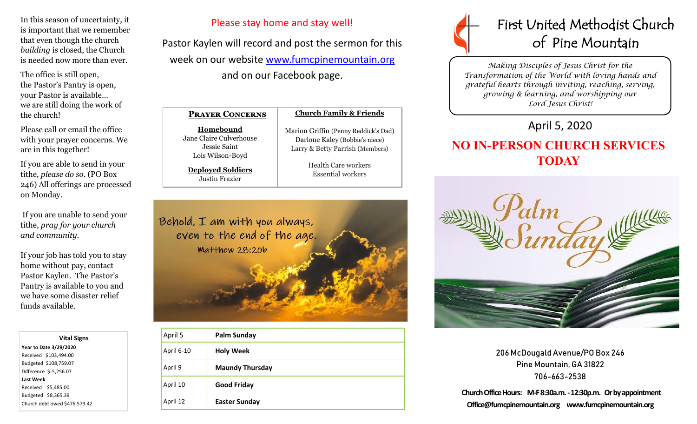In this season of uncertainty, it is important that we remember that even though the church *building* is closed, the Church is needed now more than ever.

The office is still open, the Pastor's Pantry is open, your Pastor is available… we are still doing the work of the church!

Please call or email the office with your prayer concerns. We are in this together!

If you are able to send in your tithe*, please do so*. (PO Box 246) All offerings are processed on Monday.

If you are unable to send your tithe, *pray for your church and community*.

If your job has told you to stay home without pay, contact Pastor Kaylen. The Pastor's Pantry is available to you and we have some disaster relief funds available.

 **Vital Signs Year to Date 3/29/2020**  Received \$103,494.00 Budgeted \$108,759.07 Difference \$-5,256.07 **Last Week**  Received \$5,485.00 Budgeted \$8,365.39 Church debt owed \$476,579.42

### Please stay home and stay well!

Pastor Kaylen will record and post the sermon for this week on our website [www.fumcpinemountain.org](http://www.fumcpinemountain.org) and on our Facebook page.

| <b>PRAYER CONCERNS</b>                                                   | <b>Church Famil</b>                                          |
|--------------------------------------------------------------------------|--------------------------------------------------------------|
| Homebound<br>Jane Claire Culverhouse<br>Jessie Saint<br>Lois Wilson-Boyd | Marion Griffin (Pen<br>Darlone Kaley (1<br>Larry & Betty Par |
| <b>Deployed Soldiers</b><br>Justin Frazier                               | <b>Health Care</b><br>Essential v                            |



ny Reddick's Dad) Bobbie's niece) rish (Members)

> e workers workers



| April 5    | <b>Palm Sunday</b>     |
|------------|------------------------|
| April 6-10 | <b>Holy Week</b>       |
| April 9    | <b>Maundy Thursday</b> |
| April 10   | <b>Good Friday</b>     |
| April 12   | <b>Easter Sunday</b>   |



*Making Disciples of Jesus Christ for the Transformation of the World with loving hands and grateful hearts through inviting, reaching, serving, growing & learning, and worshipping our Lord Jesus Christ!* 

## April 5, 2020

# **NO IN-PERSON CHURCH SERVICES TODAY**



206 McDougald Avenue/PO Box 246 Pine Mountain, GA 31822 706-663-2538

**Church Office Hours: M-F 8:30a.m. -12:30p.m. Or by appointment Office@fumcpinemountain.org www.fumcpinemountain.org**